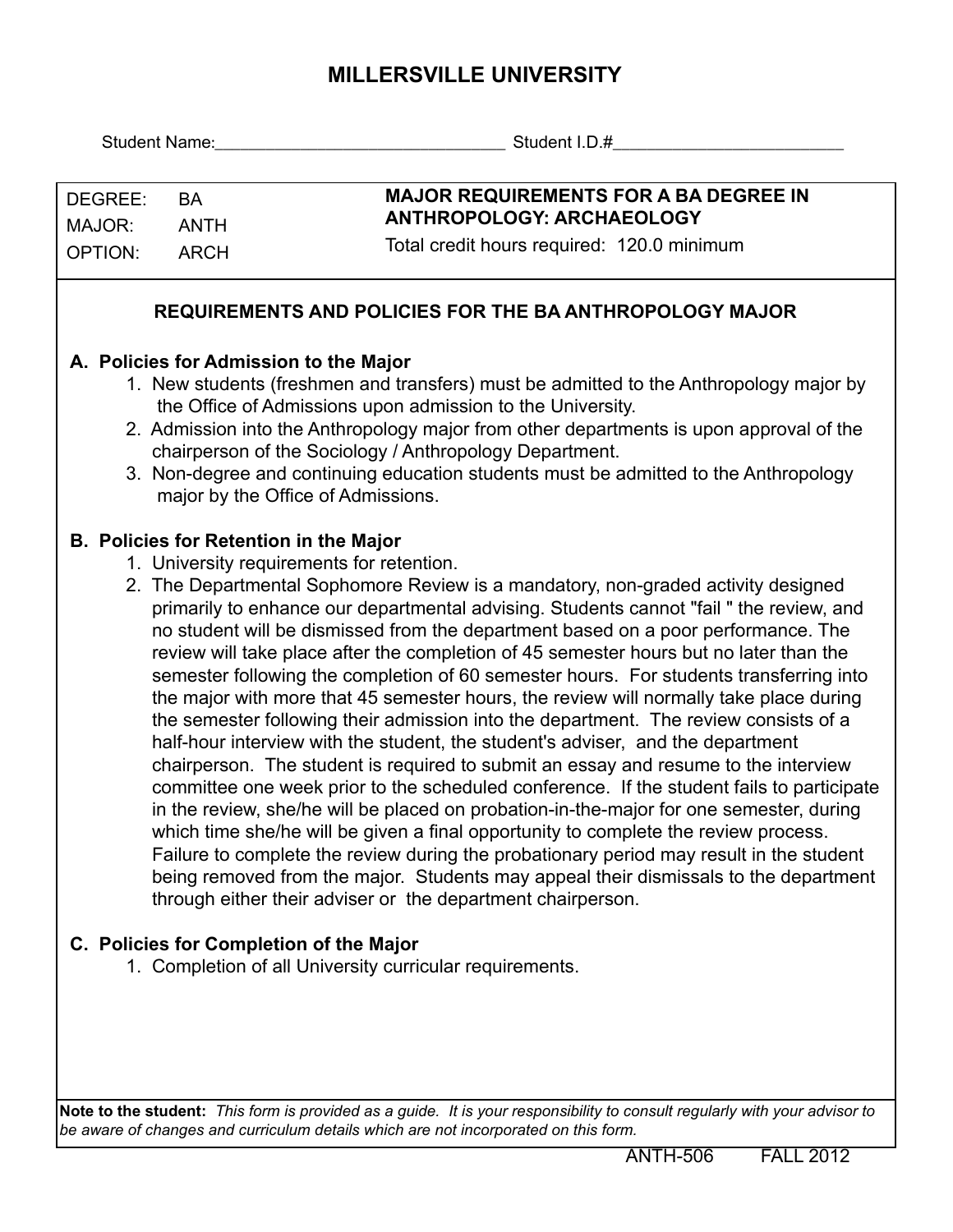## **MILLERSVILLE UNIVERSITY**

|                                     |                                                                                                                                                                                                                                                                                                                                                                                                                                                                                                                                                                                                                                                                                                                                                                                                                                                                                                                                                                                                                                                                                                                                                                                                                                                                                                                                                                                                                                                  | Student Name: Student I.D.#                                                                                                    |  |  |
|-------------------------------------|--------------------------------------------------------------------------------------------------------------------------------------------------------------------------------------------------------------------------------------------------------------------------------------------------------------------------------------------------------------------------------------------------------------------------------------------------------------------------------------------------------------------------------------------------------------------------------------------------------------------------------------------------------------------------------------------------------------------------------------------------------------------------------------------------------------------------------------------------------------------------------------------------------------------------------------------------------------------------------------------------------------------------------------------------------------------------------------------------------------------------------------------------------------------------------------------------------------------------------------------------------------------------------------------------------------------------------------------------------------------------------------------------------------------------------------------------|--------------------------------------------------------------------------------------------------------------------------------|--|--|
| DEGREE:<br>MAJOR:<br><b>OPTION:</b> | <b>BA</b><br><b>ANTH</b><br><b>ARCH</b>                                                                                                                                                                                                                                                                                                                                                                                                                                                                                                                                                                                                                                                                                                                                                                                                                                                                                                                                                                                                                                                                                                                                                                                                                                                                                                                                                                                                          | <b>MAJOR REQUIREMENTS FOR A BA DEGREE IN</b><br><b>ANTHROPOLOGY: ARCHAEOLOGY</b><br>Total credit hours required: 120.0 minimum |  |  |
|                                     |                                                                                                                                                                                                                                                                                                                                                                                                                                                                                                                                                                                                                                                                                                                                                                                                                                                                                                                                                                                                                                                                                                                                                                                                                                                                                                                                                                                                                                                  | <b>REQUIREMENTS AND POLICIES FOR THE BA ANTHROPOLOGY MAJOR</b>                                                                 |  |  |
|                                     | A. Policies for Admission to the Major<br>1. New students (freshmen and transfers) must be admitted to the Anthropology major by<br>the Office of Admissions upon admission to the University.<br>2. Admission into the Anthropology major from other departments is upon approval of the<br>chairperson of the Sociology / Anthropology Department.<br>3. Non-degree and continuing education students must be admitted to the Anthropology<br>major by the Office of Admissions.                                                                                                                                                                                                                                                                                                                                                                                                                                                                                                                                                                                                                                                                                                                                                                                                                                                                                                                                                               |                                                                                                                                |  |  |
|                                     | <b>B. Policies for Retention in the Major</b><br>1. University requirements for retention.<br>2. The Departmental Sophomore Review is a mandatory, non-graded activity designed<br>primarily to enhance our departmental advising. Students cannot "fail " the review, and<br>no student will be dismissed from the department based on a poor performance. The<br>review will take place after the completion of 45 semester hours but no later than the<br>semester following the completion of 60 semester hours. For students transferring into<br>the major with more that 45 semester hours, the review will normally take place during<br>the semester following their admission into the department. The review consists of a<br>half-hour interview with the student, the student's adviser, and the department<br>chairperson. The student is required to submit an essay and resume to the interview<br>committee one week prior to the scheduled conference. If the student fails to participate<br>in the review, she/he will be placed on probation-in-the-major for one semester, during<br>which time she/he will be given a final opportunity to complete the review process.<br>Failure to complete the review during the probationary period may result in the student<br>being removed from the major. Students may appeal their dismissals to the department<br>through either their adviser or the department chairperson. |                                                                                                                                |  |  |
|                                     |                                                                                                                                                                                                                                                                                                                                                                                                                                                                                                                                                                                                                                                                                                                                                                                                                                                                                                                                                                                                                                                                                                                                                                                                                                                                                                                                                                                                                                                  | C. Policies for Completion of the Major<br>1. Completion of all University curricular requirements.                            |  |  |
|                                     |                                                                                                                                                                                                                                                                                                                                                                                                                                                                                                                                                                                                                                                                                                                                                                                                                                                                                                                                                                                                                                                                                                                                                                                                                                                                                                                                                                                                                                                  |                                                                                                                                |  |  |

**Note to the student:** *This form is provided as a guide. It is your responsibility to consult regularly with your advisor to be aware of changes and curriculum details which are not incorporated on this form.*